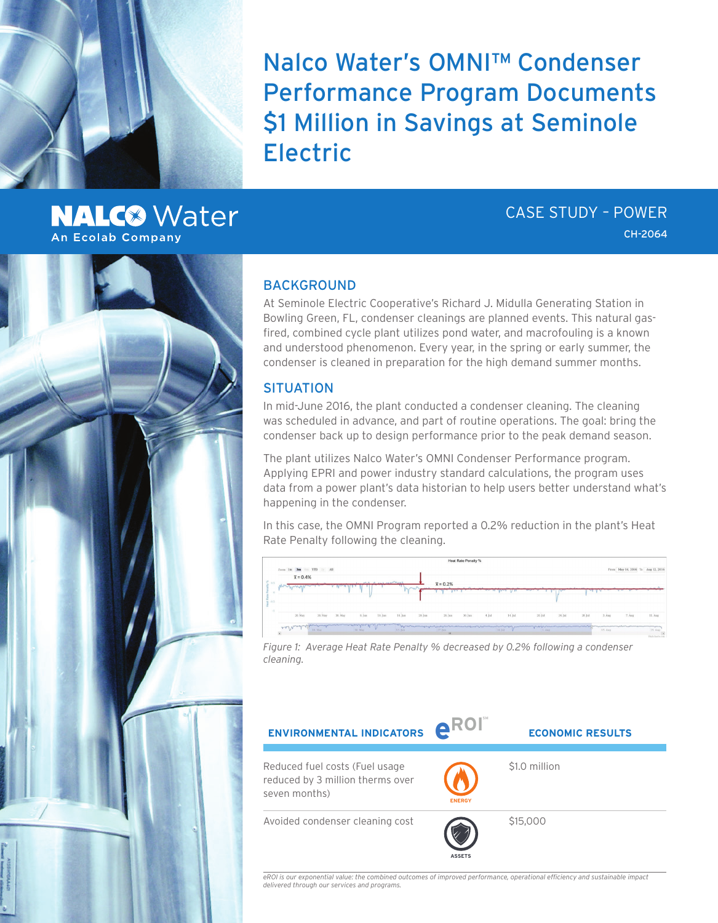Nalco Water's OMNI™ Condenser Performance Program Documents \$1 Million in Savings at Seminole Electric

# **NALC<sup>®</sup>** Water An Ecolab Company

CASE STUDY – POWER CH-2064

### BACKGROUND

At Seminole Electric Cooperative's Richard J. Midulla Generating Station in Bowling Green, FL, condenser cleanings are planned events. This natural gasfired, combined cycle plant utilizes pond water, and macrofouling is a known and understood phenomenon. Every year, in the spring or early summer, the condenser is cleaned in preparation for the high demand summer months.

### **SITUATION**

In mid-June 2016, the plant conducted a condenser cleaning. The cleaning was scheduled in advance, and part of routine operations. The goal: bring the condenser back up to design performance prior to the peak demand season.

The plant utilizes Nalco Water's OMNI Condenser Performance program. Applying EPRI and power industry standard calculations, the program uses data from a power plant's data historian to help users better understand what's happening in the condenser.

In this case, the OMNI Program reported a 0.2% reduction in the plant's Heat Rate Penalty following the cleaning.

| Heat Rate Penalty %                 |                   |                               |                                                                                                               |                        |         |        |          |           |         |                                   |          |                                                                                                                                                                                                                               |         |
|-------------------------------------|-------------------|-------------------------------|---------------------------------------------------------------------------------------------------------------|------------------------|---------|--------|----------|-----------|---------|-----------------------------------|----------|-------------------------------------------------------------------------------------------------------------------------------------------------------------------------------------------------------------------------------|---------|
| Zoom Im 3m 6m YTD 1y All            |                   |                               |                                                                                                               |                        |         |        |          |           |         | From May 14, 2016 To Aug 12, 2016 |          |                                                                                                                                                                                                                               |         |
| $\bar{x} = 0.4%$                    |                   |                               |                                                                                                               |                        |         |        |          |           |         |                                   |          |                                                                                                                                                                                                                               |         |
| 20.3                                |                   | <b><i><u>CONTRACT</u></i></b> | שי                                                                                                            | $\bar{x} = 0.2\%$      |         |        |          |           |         |                                   |          |                                                                                                                                                                                                                               |         |
|                                     |                   |                               |                                                                                                               |                        |         |        |          |           |         |                                   |          |                                                                                                                                                                                                                               |         |
| $= -0.5$                            |                   |                               |                                                                                                               |                        |         |        |          |           |         |                                   |          |                                                                                                                                                                                                                               |         |
|                                     |                   |                               |                                                                                                               |                        |         |        |          |           |         |                                   |          |                                                                                                                                                                                                                               |         |
| 20. May<br>26. May                  | 30. May<br>6. jun | $10.$ Jun                     | 14. Jun<br>20. jun                                                                                            | 26. Jun                | 30. Jun | 4. Jul | 14. Jul. | $20.$ Jul | 24. Jul | $28.$ Jul                         | $3.$ Aug | 7. Aug                                                                                                                                                                                                                        | 11. Aug |
|                                     |                   |                               | phanometrichen March 1994 aus der March 1994 aus der Anderen March 1994 aus der Gestellung und der Gestellung |                        |         |        |          |           |         |                                   |          | and the participation of the construction of the construction of the construction of the construction of the construction of the construction of the construction of the construction of the construction of the construction |         |
| en Nind<br>16 May<br>$\overline{a}$ | 30. May           | υ                             | 13. Jun-                                                                                                      | 27. Jun.<br><b>SHE</b> |         |        | 18. pil  | L. Aug.   |         |                                   | 15. Aug. |                                                                                                                                                                                                                               | 29. Aug |

*Figure 1: Average Heat Rate Penalty % decreased by 0.2% following a condenser cleaning.*



*eROI is our exponential value: the combined outcomes of improved performance, operational efficiency and sustainable impact delivered through our services and programs.*